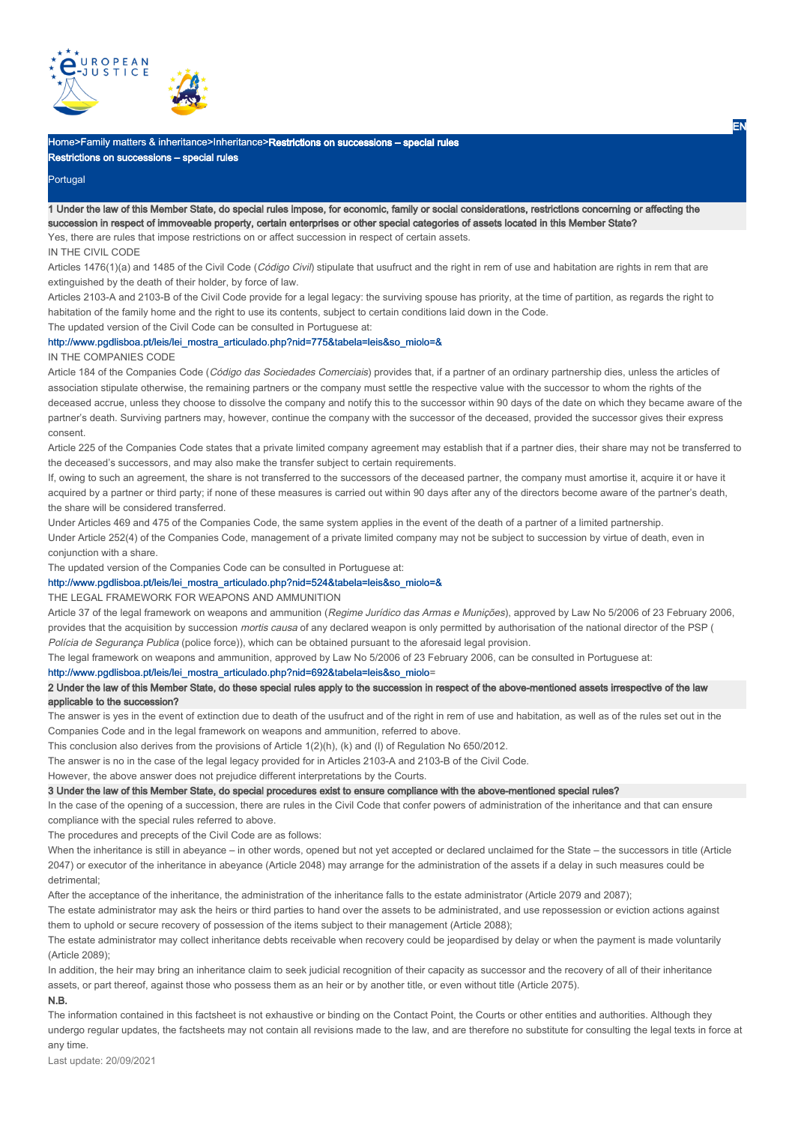

# Home>Family matters & inheritance>Inheritance>Restrictions on successions – special rules Restrictions on successions – special rules

## Portugal

1 Under the law of this Member State, do special rules impose, for economic, family or social considerations, restrictions concerning or affecting the succession in respect of immoveable property, certain enterprises or other special categories of assets located in this Member State? Yes, there are rules that impose restrictions on or affect succession in respect of certain assets.

#### IN THE CIVIL CODE

Articles 1476(1)(a) and 1485 of the Civil Code (Código Civil) stipulate that usufruct and the right in rem of use and habitation are rights in rem that are extinguished by the death of their holder, by force of law.

Articles 2103-A and 2103-B of the Civil Code provide for a legal legacy: the surviving spouse has priority, at the time of partition, as regards the right to habitation of the family home and the right to use its contents, subject to certain conditions laid down in the Code.

The updated version of the Civil Code can be consulted in Portuguese at:

## http://www.pgdlisboa.pt/leis/lei\_mostra\_articulado.php?nid=775&tabela=leis&so\_miolo=&

## IN THE COMPANIES CODE

Article 184 of the Companies Code (Código das Sociedades Comerciais) provides that, if a partner of an ordinary partnership dies, unless the articles of association stipulate otherwise, the remaining partners or the company must settle the respective value with the successor to whom the rights of the deceased accrue, unless they choose to dissolve the company and notify this to the successor within 90 days of the date on which they became aware of the partner's death. Surviving partners may, however, continue the company with the successor of the deceased, provided the successor gives their express consent.

Article 225 of the Companies Code states that a private limited company agreement may establish that if a partner dies, their share may not be transferred to the deceased's successors, and may also make the transfer subject to certain requirements.

If, owing to such an agreement, the share is not transferred to the successors of the deceased partner, the company must amortise it, acquire it or have it acquired by a partner or third party; if none of these measures is carried out within 90 days after any of the directors become aware of the partner's death, the share will be considered transferred.

Under Articles 469 and 475 of the Companies Code, the same system applies in the event of the death of a partner of a limited partnership. Under Article 252(4) of the Companies Code, management of a private limited company may not be subject to succession by virtue of death, even in conjunction with a share.

The updated version of the Companies Code can be consulted in Portuguese at:

#### http://www.pgdlisboa.pt/leis/lei\_mostra\_articulado.php?nid=524&tabela=leis&so\_miolo=&

#### THE LEGAL FRAMEWORK FOR WEAPONS AND AMMUNITION

Article 37 of the legal framework on weapons and ammunition (Regime Jurídico das Armas e Munições), approved by Law No 5/2006 of 23 February 2006, provides that the acquisition by succession mortis causa of any declared weapon is only permitted by authorisation of the national director of the PSP ( Polícia de Segurança Publica (police force)), which can be obtained pursuant to the aforesaid legal provision.

The legal framework on weapons and ammunition, approved by Law No 5/2006 of 23 February 2006, can be consulted in Portuguese at:

## http://www.pgdlisboa.pt/leis/lei\_mostra\_articulado.php?nid=692&tabela=leis&so\_miolo= http://www.pgdlisboa.pt/leis/lei\_mostra\_articulado.php?nid=692&tabela=leis&so\_miolo

## 2 Under the law of this Member State, do these special rules apply to the succession in respect of the above-mentioned assets irrespective of the law applicable to the succession?

The answer is yes in the event of extinction due to death of the usufruct and of the right in rem of use and habitation, as well as of the rules set out in the Companies Code and in the legal framework on weapons and ammunition, referred to above.

This conclusion also derives from the provisions of Article 1(2)(h), (k) and (l) of Regulation No 650/2012.

The answer is no in the case of the legal legacy provided for in Articles 2103-A and 2103-B of the Civil Code.

However, the above answer does not prejudice different interpretations by the Courts.

### 3 Under the law of this Member State, do special procedures exist to ensure compliance with the above-mentioned special rules?

In the case of the opening of a succession, there are rules in the Civil Code that confer powers of administration of the inheritance and that can ensure compliance with the special rules referred to above.

The procedures and precepts of the Civil Code are as follows:

When the inheritance is still in abeyance – in other words, opened but not yet accepted or declared unclaimed for the State – the successors in title (Article 2047) or executor of the inheritance in abeyance (Article 2048) may arrange for the administration of the assets if a delay in such measures could be detrimental;

After the acceptance of the inheritance, the administration of the inheritance falls to the estate administrator (Article 2079 and 2087);

The estate administrator may ask the heirs or third parties to hand over the assets to be administrated, and use repossession or eviction actions against them to uphold or secure recovery of possession of the items subject to their management (Article 2088);

The estate administrator may collect inheritance debts receivable when recovery could be jeopardised by delay or when the payment is made voluntarily (Article 2089);

In addition, the heir may bring an inheritance claim to seek judicial recognition of their capacity as successor and the recovery of all of their inheritance assets, or part thereof, against those who possess them as an heir or by another title, or even without title (Article 2075).

# N.B.

The information contained in this factsheet is not exhaustive or binding on the Contact Point, the Courts or other entities and authorities. Although they undergo regular updates, the factsheets may not contain all revisions made to the law, and are therefore no substitute for consulting the legal texts in force at any time.

Last update: 20/09/2021